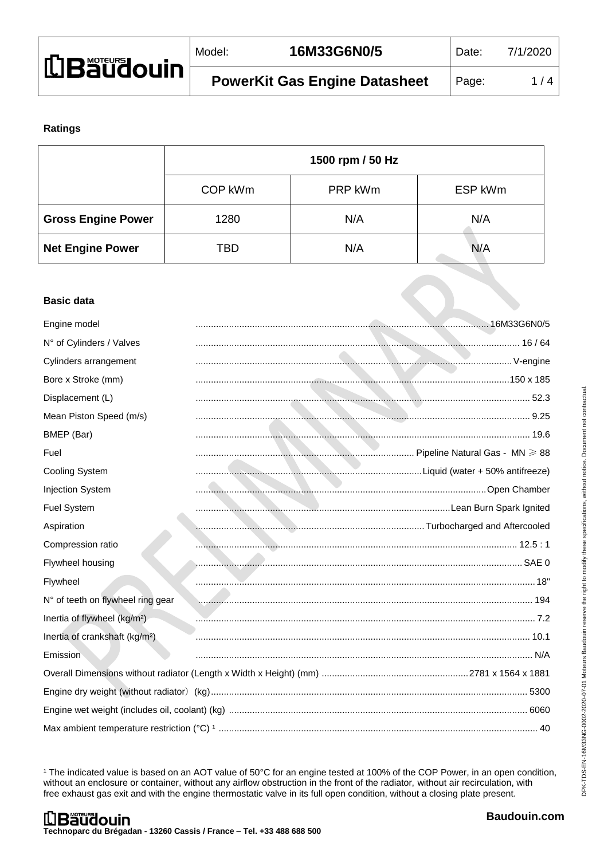| <b>LBaudouin</b> | Model: | 16M33G6N0/5                          | Date: | 7/1/2020 |
|------------------|--------|--------------------------------------|-------|----------|
|                  |        | <b>PowerKit Gas Engine Datasheet</b> | Page: | 1/4      |

## **Ratings**

|                           | 1500 rpm / 50 Hz |         |         |
|---------------------------|------------------|---------|---------|
|                           | COP kWm          | PRP kWm | ESP kWm |
| <b>Gross Engine Power</b> | 1280             | N/A     | N/A     |
| <b>Net Engine Power</b>   | TBD              | N/A     | N/A     |

#### **Basic data**

| Engine model                               |                              |  |
|--------------------------------------------|------------------------------|--|
| N° of Cylinders / Valves                   |                              |  |
| Cylinders arrangement                      |                              |  |
| Bore x Stroke (mm)                         |                              |  |
| Displacement (L)                           |                              |  |
| Mean Piston Speed (m/s)                    |                              |  |
| BMEP (Bar)                                 |                              |  |
| Fuel                                       |                              |  |
| Cooling System                             |                              |  |
| <b>Injection System</b>                    |                              |  |
| Fuel System                                |                              |  |
| Aspiration                                 | Museumanning and Aftercooled |  |
| Compression ratio                          |                              |  |
| Flywheel housing                           |                              |  |
| Flywheel                                   |                              |  |
| N° of teeth on flywheel ring gear          |                              |  |
| Inertia of flywheel (kg/m <sup>2</sup> )   |                              |  |
| Inertia of crankshaft (kg/m <sup>2</sup> ) |                              |  |
| Emission                                   |                              |  |
|                                            |                              |  |
|                                            |                              |  |
|                                            |                              |  |
|                                            |                              |  |

<sup>1</sup> The indicated value is based on an AOT value of 50°C for an engine tested at 100% of the COP Power, in an open condition, without an enclosure or container, without any airflow obstruction in the front of the radiator, without air recirculation, with free exhaust gas exit and with the engine thermostatic valve in its full open condition, without a closing plate present.

ON.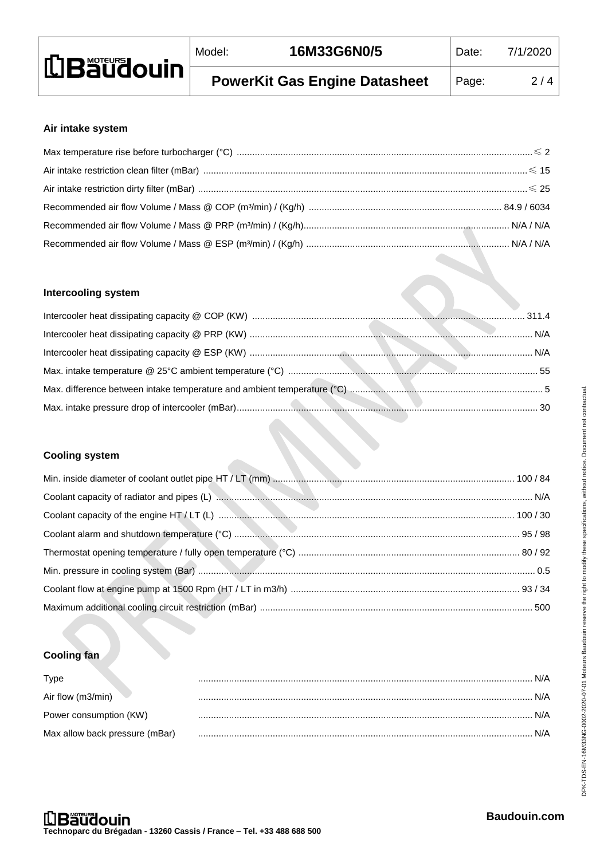| <b>LBäüdouin</b> | Model: | 16M33G6N0/5                          | Date: | 7/1/2020 |
|------------------|--------|--------------------------------------|-------|----------|
|                  |        | <b>PowerKit Gas Engine Datasheet</b> | Page: | 2/4      |

# **Air intake system**

## **Intercooling system**

**CONTRACTOR** 

**C** 

## **Cooling system**

# **Cooling fan**

| <b>Type</b>                    |     |
|--------------------------------|-----|
| Air flow (m3/min)              | N/A |
| Power consumption (KW)         |     |
| Max allow back pressure (mBar) |     |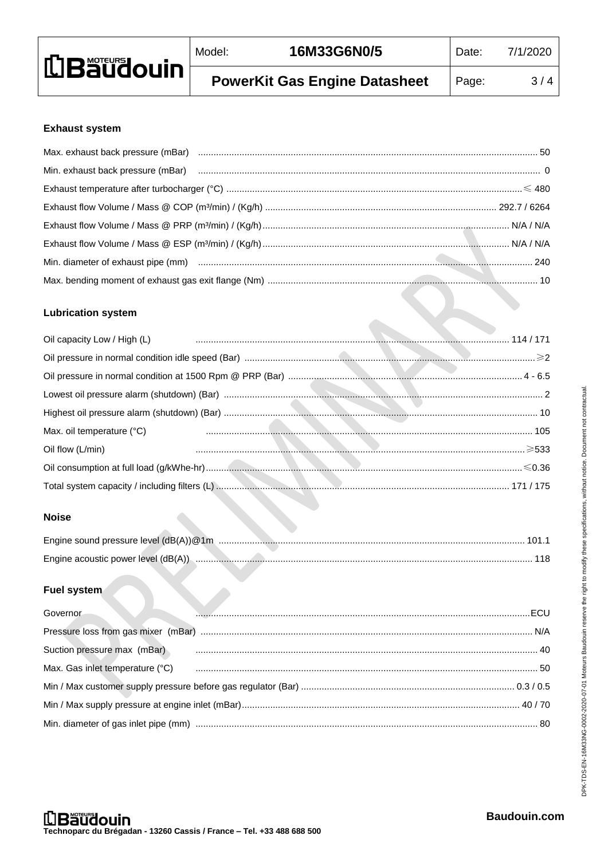| <b>LBäudouin</b> | Model: | 16M33G6N0/5                          | Date: | 7/1/2020 |
|------------------|--------|--------------------------------------|-------|----------|
|                  |        | <b>PowerKit Gas Engine Datasheet</b> | Page: | 3/4      |

## **Exhaust system**

| Min. exhaust back pressure (mBar) manufacture (metallicus) and contract (metallicus) and contract (metallicus) |  |
|----------------------------------------------------------------------------------------------------------------|--|
|                                                                                                                |  |
|                                                                                                                |  |
|                                                                                                                |  |
|                                                                                                                |  |
|                                                                                                                |  |
|                                                                                                                |  |

## **Lubrication system**

| Oil capacity Low / High (L) 214/171 |  |
|-------------------------------------|--|
|                                     |  |
|                                     |  |
|                                     |  |
|                                     |  |
| Max. oil temperature (°C)           |  |
| Oil flow (L/min)                    |  |
|                                     |  |
|                                     |  |

# **Noise**

| Engine acoustic power level (dB(A)) |  |
|-------------------------------------|--|

## **Fuel system**

| Governor                    |                                                                                                                                                                                                                                |
|-----------------------------|--------------------------------------------------------------------------------------------------------------------------------------------------------------------------------------------------------------------------------|
|                             |                                                                                                                                                                                                                                |
| Suction pressure max (mBar) |                                                                                                                                                                                                                                |
|                             | Max. Gas inlet temperature (°C) contra according control de mais control of the state of the state of the state of the state of the state of the state of the state of the state of the state of the state of the state of the |
|                             |                                                                                                                                                                                                                                |
|                             |                                                                                                                                                                                                                                |
|                             |                                                                                                                                                                                                                                |